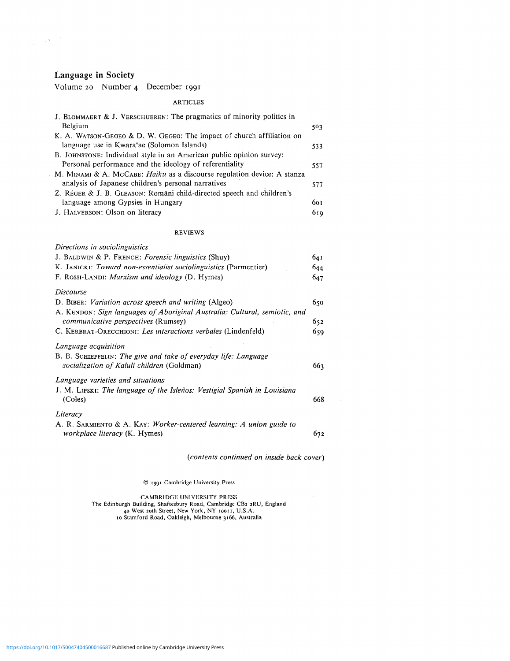## Language in Society

 $\label{eq:2.1} \frac{1}{\sqrt{2\pi}}\left(\frac{1}{\sqrt{2\pi}}\right)^{1/2}\frac{1}{\sqrt{2\pi}}\left(\frac{1}{\sqrt{2\pi}}\right)^{1/2}.$ 

 $\hat{\mathcal{A}}$ 

Volume 20 Number 4 December 1991

## ARTICLES

| J. BLOMMAERT & J. VERSCHUEREN: The pragmatics of minority politics in            |     |
|----------------------------------------------------------------------------------|-----|
| Belgium<br>K. A. WATSON-GEGEO & D. W. GEGEO: The impact of church affiliation on | 503 |
| language use in Kwara'ae (Solomon Islands)                                       | 533 |
| B. JOHNSTONE: Individual style in an American public opinion survey:             |     |
| Personal performance and the ideology of referentiality                          | 557 |
| M. MINAMI & A. McCABE: Haiku as a discourse regulation device: A stanza          |     |
| analysis of Japanese children's personal narratives                              | 577 |
| Z. RÉGER & J. B. GLEASON: Romani child-directed speech and children's            |     |
| language among Gypsies in Hungary                                                | 601 |
| J. HALVERSON: Olson on literacy                                                  | 619 |
| <b>REVIEWS</b>                                                                   |     |
| Directions in sociolinguistics                                                   |     |
| J. BALDWIN & P. FRENCH: Forensic linguistics (Shuy)                              | 641 |
| K. JANICKI: Toward non-essentialist sociolinguistics (Parmentier)                | 644 |
| F. ROSSI-LANDI: Marxism and ideology (D. Hymes)                                  | 647 |
| <b>Discourse</b>                                                                 |     |
| D. BIBER: Variation across speech and writing (Algeo)                            | 650 |
| A. KENDON: Sign languages of Aboriginal Australia: Cultural, semiotic, and       |     |
| communicative perspectives (Rumsey)                                              | 652 |
| C. KERBRAT-ORECCHIONI: Les interactions verbales (Lindenfeld)                    | 659 |
| Language acquisition                                                             |     |
| B. B. SCHIEFFELIN: The give and take of everyday life: Language                  |     |
| socialization of Kaluli children (Goldman)                                       | 663 |
| Language varieties and situations                                                |     |
| J. M. LIPSKI: The language of the Isleños: Vestigial Spanish in Louisiana        |     |
| (Coles)                                                                          | 668 |
| Literacy                                                                         |     |
| A. R. SARMIENTO & A. KAY: Worker-centered learning: A union guide to             |     |
| workplace literacy (K. Hymes)                                                    | 672 |
|                                                                                  |     |

*(contents continued on inside back cover)*

 $\bar{z}$ 

*©* 1991 Cambridge University Press

CAMBRIDGE UNIVERSITY PRESS The Edinburgh Building, Shaftesbury Road, Cambridge CB2 2RU, England 40 West 20th Street, New York, NY 10011, U.S.A. 10 Stamford Road, Oakleigh, Melbourne 3166, Australia